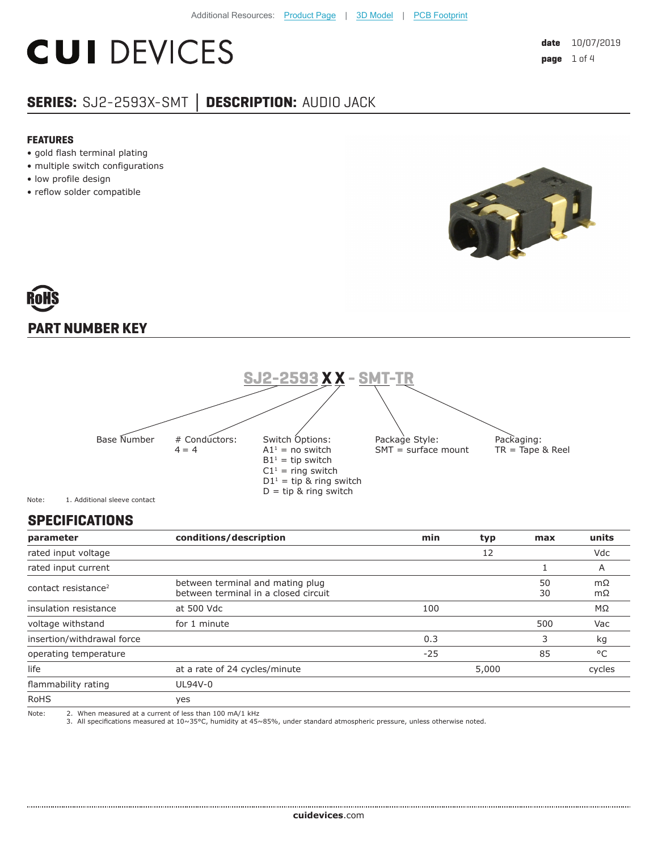# **CUI DEVICES**

### **SERIES:** SJ2-2593X-SMT **│ DESCRIPTION:** AUDIO JACK

#### **FEATURES**

- gold flash terminal plating
- multiple switch configurations
- low profile design
- reflow solder compatible



## **PART NUMBER KEY**



Note: 1. Additional sleeve contact

#### **SPECIFICATIONS**

| parameter                       | conditions/description                                                   | min   | typ   | max      | units    |
|---------------------------------|--------------------------------------------------------------------------|-------|-------|----------|----------|
| rated input voltage             |                                                                          |       | 12    |          | Vdc      |
| rated input current             |                                                                          |       |       |          | A        |
| contact resistance <sup>2</sup> | between terminal and mating plug<br>between terminal in a closed circuit |       |       | 50<br>30 | mΩ<br>mΩ |
| insulation resistance           | at 500 Vdc                                                               | 100   |       |          | MΩ       |
| voltage withstand               | for 1 minute                                                             |       |       | 500      | Vac      |
| insertion/withdrawal force      |                                                                          | 0.3   |       | 3        | kg       |
| operating temperature           |                                                                          | $-25$ |       | 85       | °C       |
| life                            | at a rate of 24 cycles/minute                                            |       | 5,000 |          | cycles   |
| flammability rating             | UL94V-0                                                                  |       |       |          |          |
| <b>RoHS</b>                     | yes                                                                      |       |       |          |          |
| Note:                           | 2. When measured at a current of less than 100 mA/1 kHz                  |       |       |          |          |

Note: 2. When measured at a current of less than 100 mA/1 kHz 3. All specifications measured at 10~35°C, humidity at 45~85%, under standard atmospheric pressure, unless otherwise noted.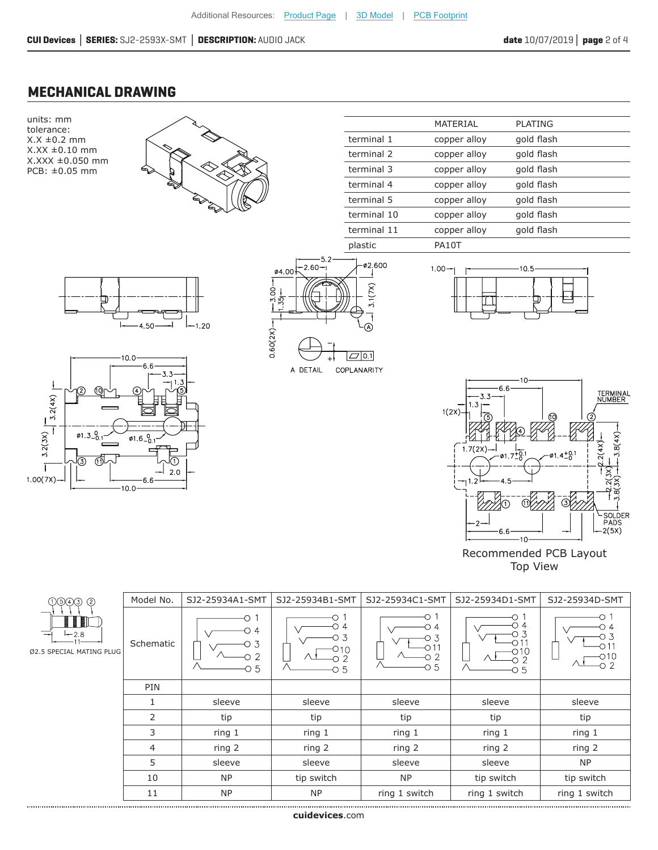#### **MECHANICAL DRAWING**

units: mm tolerance: X.X ±0.2 mm X.XX ±0.10 mm X.XXX ±0.050 mm PCB: ±0.05 mm



|             | MATERIAL     | PI ATING   |  |
|-------------|--------------|------------|--|
| terminal 1  | copper alloy | gold flash |  |
| terminal 2  | copper alloy | gold flash |  |
| terminal 3  | copper alloy | gold flash |  |
| terminal 4  | copper alloy | gold flash |  |
| terminal 5  | copper alloy | gold flash |  |
| terminal 10 | copper alloy | gold flash |  |
| terminal 11 | copper alloy | gold flash |  |
| plastic     | PA10T        |            |  |











Recommended PCB Layout Top View

| 000000                             | Model No. | SJ2-25934A1-SMT                                     | SJ2-25934B1-SMT | SJ2-25934C1-SMT                  | SJ2-25934D1-SMT | SJ2-25934D-SMT |
|------------------------------------|-----------|-----------------------------------------------------|-----------------|----------------------------------|-----------------|----------------|
| $-2.8$<br>Ø2.5 SPECIAL MATING PLUG | Schematic | O.<br>$\circ$ 4<br>3<br>$\overline{2}$<br>$\circ$ 5 | C.<br>010<br>О5 | о 1<br>D 4<br>Ο3<br>-2<br>$-0.5$ | Ω<br>-O 5       | O 4            |
|                                    | PIN       |                                                     |                 |                                  |                 |                |
|                                    |           | sleeve                                              | sleeve          | sleeve                           | sleeve          | sleeve         |
|                                    | 2         | tip                                                 | tip             | tip                              | tip             | tip            |
|                                    | 3         | ring 1                                              | ring 1          | ring 1                           | ring 1          | ring 1         |
|                                    | 4         | ring 2                                              | ring 2          | ring 2                           | ring 2          | ring 2         |
|                                    | 5         | sleeve                                              | sleeve          | sleeve                           | sleeve          | NP             |
|                                    | 10        | <b>NP</b>                                           | tip switch      | <b>NP</b>                        | tip switch      | tip switch     |
|                                    | 11        | <b>NP</b>                                           | <b>NP</b>       | ring 1 switch                    | ring 1 switch   | ring 1 switch  |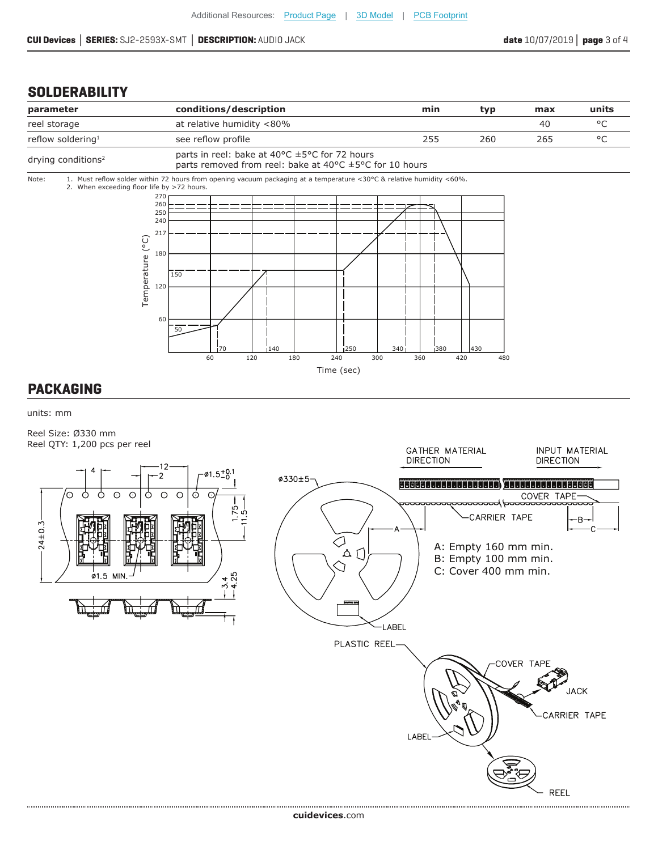.................................

#### **SOLDERABILITY**



units: mm

Reel Size: Ø330 mm Reel QTY: 1,200 pcs per reel